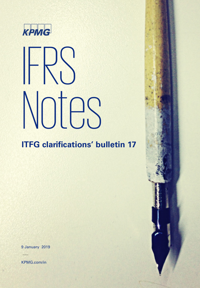

# KPMG<br>IFRS Notes

# **ITFG clarifications' bulletin 17**

9 January 2019

KPMG.com/in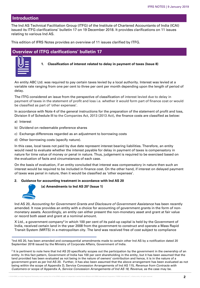# **Introduction**

The Ind AS Technical Facilitation Group (ITFG) of the Institute of Chartered Accountants of India (ICAI) issued its ITFG clarifications' bulletin 17 on 19 December 2018. It provides clarifications on 11 issues relating to various Ind AS.

This edition of IFRS Notes provides an overview of 11 issues clarified by ITFG.

# **Overview of ITFG clarifications' bulletin 17**



**1. Classification of interest related to delay in payment of taxes (Issue 8)**

An entity ABC Ltd. was required to pay certain taxes levied by a local authority. Interest was levied at a variable rate ranging from one per cent to three per cent per month depending upon the length of period of delay.

The ITFG considered an issue from the perspective of classification of interest levied due to delay in payment of taxes in the statement of profit and loss i.e. whether it would form part of finance cost or would be classified as part of 'other expenses'.

In accordance with Note 4 of the general instructions for the preparation of the statement of profit and loss, Division II of Schedule III to the Companies Act, 2013 (2013 Act), the finance costs are classified as below:

- a) Interest
- b) Dividend on redeemable preference shares
- c) Exchange differences regarded as an adjustment to borrowing costs
- d) Other borrowing costs (specify nature).

In this case, local taxes not paid by due date represent interest bearing liabilities. Therefore, an entity would need to evaluate whether the interest payable for delay in payment of taxes is compensatory in nature for time value of money or penal in nature. Thus, judgement is required to be exercised based on the evaluation of facts and circumstances of each case.

On the basis of evaluation, if an entity concluded that interest was compensatory in nature then such an interest would be required to be included in finance cost. On the other hand, if interest on delayed payment of taxes was penal in nature, then it would be classified as 'other expenses'.

#### **2. Guidance for accounting treatment in accordance with Ind AS 20**



**(a) Amendments to Ind AS 201 (Issue 1)**

Ind AS 20, *Accounting for Government Grants and Disclosure of Government Assistance* has been recently amended. It now provides an entity with a choice for accounting of government grants in the form of nonmonetary assets. Accordingly, an entity can either present the non-monetary asset and grant at fair value or record both asset and grant at a nominal amount.

X Ltd., a government company2 in which 100 per cent of its paid-up capital is held by the Government of India, received certain land in the year 2008 from the government to construct and operate a Mass Rapid Transit System (MRTS) in a metropolitan city. The land was received free of cost subject to compliance

<sup>2</sup> It is pertinent to note here that Ind AS 20 specifically scopes out the participation by the government in the ownership of an entity. In this fact pattern, Government of India has 100 per cent shareholding in the entity, but it has been assumed that the land provided has been evaluated as not being in the nature of owners' contribution and hence, it is in the nature of a government grant as per Ind AS 20. Further, it has also been assumed that the above arrangement has been evaluated as not being within the scope of Appendix D, Service Concession Arrangements of Ind AS 115, *Revenue from Contracts with Customers* or scope of Appendix A*, Service Concession Arrangements of Ind AS 18, Revenue,* as the case may be.

<sup>1</sup>Ind AS 20, has been amended and consequential amendments made to certain other Ind AS by a notification dated 20 September 2018 issued by the Ministry of Corporate Affairs, Government of India.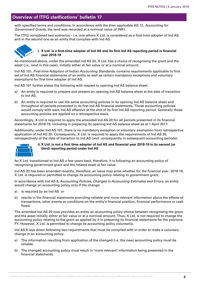# **Overview of ITFG clarifications' bulletin 17**

with specified terms and conditions. In accordance with the then applicable AS 12, *Accounting for Government Grants*, the land was recorded at a nominal value of INR1.

The ITFG considered two scenarios – i.e. one where X Ltd. is considered as a first-time adopter of Ind AS and in the second one as an entity that complies with Ind AS.



#### **i. X Ltd. is a first-time adopter of Ind AS and its first Ind AS reporting period is financial year 2018-19**

As mentioned above, under the amended Ind AS 20, X Ltd. has a choice of recognising the grant and the asset (i.e., land in this case), initially either at fair value or at a nominal amount.

Ind AS 101, *First-time Adoption of Indian Accounting Standards*, contains requirements applicable to first set of Ind AS financial statements of an entity as well as certain mandatory exceptions and voluntary exemptions for first time adopter of Ind AS.

Ind AS 101 further states the following with respect to opening Ind AS balance sheet:

- a) An entity is required to prepare and present an opening Ind AS balance sheet at the date of transition to Ind AS.
- b) An entity is required to use the same accounting policies in its opening Ind AS balance sheet and throughout all periods presented in its first Ind AS financial statements. Those accounting policies would comply with each Ind AS effective at the end of its first Ind AS reporting period. Generally those accounting policies are applied on a retrospective basis.

Accordingly, X Ltd is required to apply the amended Ind AS 20 for all periods presented in its financial statements for 2018-19, including in preparing its opening Ind AS balance sheet as at 1 April 2017.

Additionally, under Ind AS 101, there is no mandatory exception or voluntary exemption from retrospective application of Ind AS 20. Consequently, X Ltd. is required to apply the requirements of Ind AS 20, retrospectively at the date of transition to Ind AS (and consequently in subsequent accounting periods).



#### **ii. X Ltd. is not a first time adopter of Ind AS and financial year 2018-19 is its second (or third) reporting period under Ind AS**

As X Ltd. transitioned to Ind AS a few years back, therefore, it is following an accounting policy of recognising government grant and the related asset at fair value.

Ind AS 20 has been amended recently, therefore, an issue may arise whether for the financial year 2018-19, X Ltd. is required or permitted to change its accounting policy relating to government grant.

In accordance with Ind AS 8, A*ccounting Policies, Changes in Accounting Estimates and Errors,* an entity would change an accounting policy only if the change:

- a) is required by an Ind AS or
- b) results in the financial statements providing reliable and more relevant information about the effects of transactions, other events or conditions on the entity's financial position, financial performance or cash flows.

The amended Ind AS 20 now provides an entity an accounting policy choice between recognising the grant and the asset initially either at fair value or at a nominal amount. Thus, X Ltd. is not required to change the accounting policy relating to the grant as applied by it in preparing its financial statements for the previous FY. However, X Ltd. is permitted to change its accounting policy voluntarily.

Ind AS 8 lays down following two requirements that must be complied with in order to make a voluntary change in an accounting policy:

- a) The information resulting from application of the changed (i.e. the new) accounting policy must be reliable.
- b) The changed accounting policy must result in 'more relevant' information being presented in the financial statements.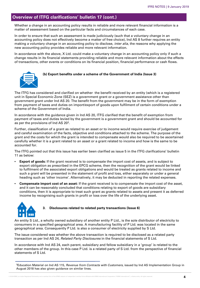Whether a change in an accounting policy results in reliable and more relevant financial information is a matter of assessment based on the particular facts and circumstances of each case.

In order to ensure that such an assessment is made judiciously (such that a voluntary change in an accounting policy does not effectively become a matter of free choice), Ind AS 8 further requires an entity making a voluntary change in an accounting policy to disclose, *inter alia*, the reasons why applying the new accounting policy provides reliable and more relevant information.

In accordance with the above, X Ltd. could make a voluntary change in an accounting policy only if such a change results in its financial statements providing reliable and more relevant information about the effects of transactions, other events or conditions on its financial position, financial performance or cash flows.

#### **(b) Export benefits under a scheme of the Government of India (Issue 3)**

The ITFG has considered and clarified on whether the benefit received by an entity (which is a registered unit in Special Economic Zone (SEZ) is a government grant or a government assistance other than government grant under Ind AS 20. The benefit from the government may be in the form of exemption from payment of taxes and duties on import/export of goods upon fulfilment of certain conditions under a scheme of the Government of India.

In accordance with the guidance given in Ind AS 20, ITFG clarified that the benefit of exemption from payment of taxes and duties levied by the government is a government grant and should be accounted for as per the provisions of Ind AS 203.

Further, classification of a grant as related to an asset or to income would require exercise of judgement and careful examination of the facts, objective and conditions attached to the scheme. The purpose of the grant and the costs for which the grant is intended to compensate would also be required to be ascertained carefully whether it is a grant related to an asset or a grant related to income and how is the same to be accounted for.

The ITFG pointed out that this issue has earlier been clarified as issue 5 in the ITFG clarifications' bulletin 11 as below:

- **Export of goods:** If the grant received is to compensate the import cost of assets, and is subject to export obligation as prescribed in the EPCG scheme, then the recognition of the grant would be linked to fulfilment of the associated export obligations and would be treated as grants related to income and such a grant will be presented in the statement of profit and loss, either separately or under a general heading such as 'other income'. Alternatively, it may be deducted in reporting the related expenses.
- **Compensate import cost of an asset:** If the grant received is to compensate the import cost of the asset, and it can be reasonably concluded that conditions relating to export of goods are subsidiary conditions, then it is appropriate to treat such grant as grants related to assets and present it as deferred income by recognising such grants in profit or loss over the life of the underlying asset.



#### **3. Disclosures related to related party transactions (Issue 6)**

An entity S Ltd., a wholly owned subsidiary of another entity P Ltd., is the sole distributor of electricity to consumers in a specified geographical area. A manufacturing facility of P Ltd. was located in the same geographical area. Consequently P Ltd. is also a consumer of electricity supplied by S Ltd.

The issue considered was whether the above transaction is required to be disclosed as a related party transaction as per Ind AS 24, *Related Party Disclosures* in the financial statements of S Ltd.

In accordance with Ind AS 24, each parent, subsidiary and fellow subsidiary in a 'group' is related to the other members of the group. In this case P Ltd. is a related party of S Ltd. from the perspective of financial statements of S Ltd.

3Education Material on Ind AS 115, *Revenue from Contracts with Customers,* issued by Ind AS Implementation Group in August 2018 has also given guidance on similar lines.

© 2019 KPMG, an Indian Registered Partnership and a member firm of the KPMG network of independent member firms affiliated with KPMG International Cooperative ("KPMG International"), a Swiss entity. All rights reserved.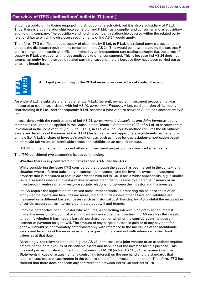S Ltd. is a public utility (being engaged in distribution of electricity), but it is also a subsidiary of P Ltd. Thus, there is a dual relationship between S Ltd. and P Ltd. - as a supplier and consumer and as subsidiary and holding company. The subsidiary and holding company relationship covered within the related party relationships to which the disclosure requirements of Ind AS 24 would apply.

Therefore, ITFG clarified that the supply of electricity by S Ltd. to P Ltd. is a related party transaction that attracts the disclosure requirements contained in Ind AS 24. This would be notwithstanding the fact that P Ltd. is charged the electricity tariffs determined by an independent rate-setting authority (i.e. the terms of supply to P Ltd. are at par with those applicable to other consumers). This is because Ind AS 24 does not exempt an entity from disclosing related party transactions merely because they have been carried out at an arm's length basis.



An entity B Ltd., a subsidiary of another entity A Ltd., (parent), owned an investment property that was measured at cost in accordance with Ind AS 40, *Investment Property*. A Ltd. sold a portion of its equity shareholding in B Ltd., and consequently B Ltd. became a joint venture between A Ltd. and another entity Z Ltd.

In accordance with the requirements of Ind AS 28, *Investments in Associates and Joint Ventures*, equity method is required to be applied in the Consolidated Financial Statements (CFS) of A Ltd. to account for its investment in the joint venture (i.e. B Ltd.). Thus, in CFS of A Ltd., equity method requires the identifiable assets and liabilities of the investee (i.e. B Ltd.) be fair valued and appropriate adjustments be made to an entity's (i.e. A Ltd.'s) share of investee's profit or loss, such as those for depreciation/ amortisation based on aforesaid fair values of identifiable assets and liabilities at an acquisition date.

Ind AS 40, on the other hand, does not allow an investment property to be measured at fair value.

The ITFG considered two accounting issues as following:

#### **i. Whether there is any contradiction between Ind AS 40 and Ind AS 28**

While considering the issue ITFG considered that though the above has been raised in the context of a situation where a former subsidiary becomes a joint venture and the investee owns an investment property that is measured at cost in accordance with Ind AS 40, it has a wider applicability, e.g. a similar issue also arises when an investor makes an investment that gives rise to a parent-subsidiary or an investor-joint venture or an investor-associate relationship between the investor and the investee.

Ind AS require the application of a mixed measurement model in preparing the balance sheet of an entity – some assets and liabilities are measured at fair value while other assets and liabilities are measured on a different basis (or bases) such as historical cost. Besides, Ind AS prohibit the recognition of certain assets such as internally-generated goodwill and brands.

From the perspective of an investor who acquires, a controlling interest in an entity (or an interest giving the investor joint control or significant influence over the investee), Ind AS requires the investor to identify whether it has made a bargain purchase gain or whether the consideration includes an element of payment for goodwill. The amount of any bargain purchase gain or of any payment for goodwill would be appropriately determined only with reference to the fair values of the identifiable assets and liabilities of the investee as at the acquisition date and not with reference to their book values as at that date.

Accordingly, the relevant standard (e.g. Ind AS 28 in the case of a joint venture or an associate) requires determination of fair values of identifiable assets and liabilities of the investee for this purpose. This does not *per se* indicate a contradiction between Ind AS 28 (or Ind AS 110, *Consolidated Financial Statements* in case of acquisition of a controlling interest) on the one hand and the standards that require a cost based measurement in the balance sheet of the investee on the other. Therefore, ITFG has clarified that there does not seem any contradiction between Ind AS 40 and Ind AS 28.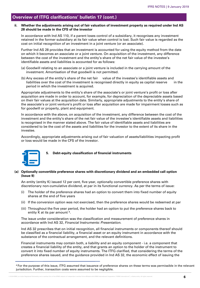#### **ii. Whether the adjustments arising out of fair valuation of investment property as required under Ind AS 28 should be made in the CFS of the investor**

In accordance with Ind AS 110, if a parent loses control of a subsidiary, it recognises any investment retained in the former subsidiary at its fair value when control is lost. Such fair value is regarded as the cost on initial recognition of an investment in a joint venture (or an associate).

Further Ind AS 28 provides that an investment is accounted for using the equity method from the date on which it becomes an associate or a joint venture. On acquisition of the investment, any difference between the cost of the investment and the entity's share of the net fair value of the investee's identifiable assets and liabilities is accounted for as follows:

- (a) Goodwill relating to an associate or a joint venture is included in the carrying amount of the investment. Amortisation of that goodwill is not permitted.
- (b) Any excess of the entity's share of the net fair value of the investee's identifiable assets and liabilities over the cost of the investment is recognised directly in equity as capital reserve in the period in which the investment is acquired.

Appropriate adjustments to the entity's share of the associate's or joint venture's profit or loss after acquisition are made in order to account, for example, for depreciation of the depreciable assets based on their fair values at the acquisition date. Similarly, appropriate adjustments to the entity's share of the associate's or joint venture's profit or loss after acquisition are made for impairment losses such as for goodwill or property, plant and equipment.

In accordance with the above, on acquisition of the investment, any difference between the cost of the investment and the entity's share of the net fair value of the investee's identifiable assets and liabilities is recognised in the manner stated above. The fair value of identifiable assets and liabilities are considered to be the cost of the assets and liabilities for the investor to the extent of its share in the investee.

Accordingly, appropriate adjustments arising out of fair valuation of assets/liabilities impacting profit or loss would be made in the CFS of the investor.



#### **5. Debt-equity classification of financial instruments**

#### **(a) Optionally convertible preference shares with discretionary dividend and an embedded call option (Issue 9)**

An entity (entity K) issued 12 per cent, five year, optionally convertible preference shares with discretionary non-cumulative dividend, at par in its functional currency. As per the terms of issue:

- (i) The holder of the preference shares had an option to convert them into fixed number of equity shares at the end of five years
- (ii) If the conversion option was not exercised, then the preference shares would be redeemed at par
- (iii) Throughout the five year period, the holder had an option to put the preference shares back to entity K at its par amount 4.

The issue under consideration was the classification and measurement of preference shares in accordance with Ind AS 32, *Financial Instruments: Presentation.*

Ind AS 32 prescribes that on initial recognition, all financial instruments or components thereof should be classified as a financial liability, a financial asset or an equity instrument in accordance with the substance of the contractual arrangement, and the relevant definitions.

Financial instruments may contain both, a liability and an equity component - i.e. a component that creates a financial liability of the entity, and that grants an option to the holder of the instrument to convert it into fixed number of equity instruments. The ITFG clarified, that considering the terms of the preference shares issued, and the guidance provided in Ind AS 32, the economic effect of issuing the

4 For the purpose of this issue, ITFG assumed that issuance of preference shares on these terms was permissible in the relevant jurisdiction. Further, transaction costs were assumed to be negligible.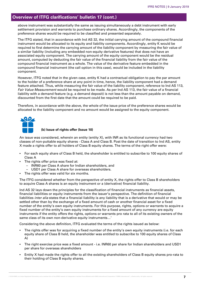above instrument was substantially the same as issuing simultaneously a debt instrument with early settlement provision and warrants to purchase ordinary shares. Accordingly, the components of the preference shares would be required to be classified and presented separately.

The ITFG stated, that in accordance with Ind AS 32, the initial carrying amount of the compound financial instrument would be allocated to its equity and liability components. Accordingly, entity K would be required to first determine the carrying amount of the liability component by measuring the fair value of a similar liability (including any embedded non-equity derivative features) that does not have an associated equity component. The carrying amount of the equity component would be the residual amount, computed by deducting the fair value of the financial liability from the fair value of the compound financial instrument as a whole. The value of the derivative feature embedded in the compound financial instrument (the call option in this case), would be included in the liability component.

However, ITFG noted that in the given case, entity K had a contractual obligation to pay the par amount to the holder of a preference share at any point in time, hence, the liability component had a demand feature attached. Thus, while measuring the fair value of the liability component, reference to Ind AS 113, *Fair Value Measurement* would be required to be made. As per Ind AS 113, the fair value of a financial liability with a demand feature (e.g. a demand deposit) is not less than the amount payable on demand, discounted from the first date that the amount could be required to be paid.

Therefore, in accordance with the above, the whole of the issue price of the preference shares would be allocated to the liability component and no amount would be assigned to the equity component.



#### **(b) Issue of rights offer (Issue 10)**

An issue was considered, wherein an entity (entity X), with INR as its functional currency had two classes of non-puttable equity shares - Class A and Class B. Post the date of transition to Ind AS, entity X made a rights offer to all holders of Class B equity shares. The terms of the right offer were:

- For each equity share of Class B held, the shareholder is entitled to subscribe to 100 equity shares of Class A
- The rights offer price was fixed at:
	- INR60 per Class A share for Indian shareholders, and
	- USD1 per Class A share for overseas shareholders.
- The rights offer was valid for six months.

The ITFG considered whether from the perspective of entity X, the rights offer to Class B shareholders to acquire Class A shares is an equity instrument or a (derivative) financial liability.

Ind AS 32 lays down the principles for the classification of financial instruments as financial assets, financial liabilities or equity instruments from the issuer's perspective. The definition of financial liabilities *inter alia* states that a financial liability is any liability that is a derivative that would or may be settled other than by the exchange of a fixed amount of cash or another financial asset for a fixed number of the entity's own equity instruments. For this purpose, rights, options or warrants to acquire a fixed number of the entity's own equity instruments for a fixed amount of any currency are equity instruments if the entity offers the rights, options or warrants pro rata to all of its existing owners of the same class of its own non-derivative equity instruments…'

Considering the above definition, ITFG evaluated the terms of the rights issued as below:

- The rights offer was for acquiring a fixed number of the entity's own equity instruments (i.e. for each equity share of Class B held, the shareholder was entitled to subscribe to 100 equity shares of Class A)
- The right exercise price was a fixed amount i.e. INR60 per share for Indian shareholders and USD1 per share for overseas shareholders
- Entity X had made the rights offer to all the existing shareholders of Class B equity shares pro-rata to their holding of Class B equity shares.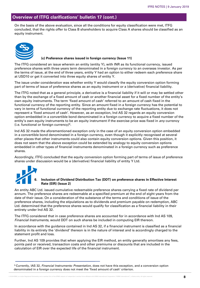On the basis of the above evaluation, since all the conditions for equity classification were met, ITFG concluded, that the rights offer to Class B shareholders to acquire Class A shares should be classified as an equity instrument.



#### **(c) Preference shares issued in foreign currency (Issue 11)**

The ITFG considered an issue wherein an entity (entity Y), with INR as its functional currency, issued preference shares with three years term denominated in a foreign currency to an overseas investor. As per the terms of issue, at the end of three years, entity Y had an option to either redeem each preference share at USD10 or get it converted into three equity shares of entity Y.

The issue under consideration was whether entity Y would classify the equity conversion option forming part of terms of issue of preference shares as an equity instrument or a (derivative) financial liability.

The ITFG noted that as a general principle, a derivative is a financial liability if it will or may be settled other than by the exchange of a fixed amount of cash or another financial asset for a fixed number of the entity's own equity instruments. The term 'fixed amount of cash' referred to an amount of cash fixed in the functional currency of the reporting entity. Since an amount fixed in a foreign currency has the potential to vary in terms of functional currency of the reporting entity due to exchange rate fluctuations, it does not represent a 'fixed amount of cash'. However, as an exception, Ind AS 32 regards an equity conversion option embedded in a convertible bond denominated in a foreign currency to acquire a fixed number of the entity's own equity instruments to be an equity instrument if the exercise price was fixed in *any* currency (i.e. functional or foreign currency)5.

Ind AS 32 made the aforementioned exception only in the case of an equity conversion option embedded in a convertible bond denominated in a foreign currency, even though it explicitly recognised at several other places that other instruments could also contain equity conversion options. Given this position, it does not seem that the above exception could be extended by analogy to equity conversion options embedded in other types of financial instruments denominated in a foreign currency such as preference shares.

Accordingly, ITFG concluded that the equity conversion option forming part of terms of issue of preference shares under discussion would be a (derivative) financial liability of entity Y Ltd.



#### **6. Inclusion of Dividend Distribution Tax (DDT) on preference shares in Effective Interest Rate (EIR) (Issue 2)**

An entity ABC Ltd. issued cumulative redeemable preference shares carrying a fixed rate of dividend per annum. The preference shares are redeemable at a specified premium at the end of eight years from the date of their issue. On a consideration of the substance of the terms and conditions of issue of the preference shares, including the stipulations as to dividends and premium payable on redemption, ABC Ltd. determined that the preference shares would qualify for classification as a financial liability in their entirety under Ind AS 32.

The ITFG considered that in case preference shares are accounted for in accordance with Ind AS 109, *Financial Instruments,* would DDT on such shares be included in computing EIR thereon.

In accordance with the guidance contained in Ind AS 32, if a financial instrument is classified as a financial liability in its entirety the 'dividend' thereon is in the nature of interest and is accordingly charged to the statement profit and loss.

Further, Ind AS 109 provides that when applying the EIR method, an entity generally amortises any fees, points paid or received, transaction costs and other premiums or discounts that are included in the calculation of EIR over the expected life of the financial instrument.

<sup>5</sup> Currently, IAS 32, *Financial Instruments: Presentation*, does not have this exception, and a conversion option denominated in a foreign currency does not meet the 'fixed amount of cash' criterion.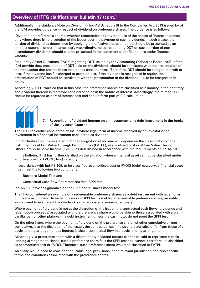Additionally, the Guidance Note on Division II - Ind AS Schedule III to the Companies Act, 2013 issued by of the ICAI provides guidance in respect of dividend on preference shares. The guidance is as follows:

'Dividend on preferences shares, whether redeemable or convertible, is of the nature of 'interest expense', only where there is no discretion of the issuer over the payment of such dividends. In such a case, the portion of dividend as determined by applying the effective interest method should be presented as an 'interest expense' under 'finance cost'. Accordingly, the corresponding DDT on such portion of nondiscretionary dividends should also be presented in the statement of profit and loss under 'interest expense'.'

Frequently Asked Questions (FAQs) regarding DDT issued by the Accounting Standards Board (ASB) of the ICAI provide that, presentation of DDT paid on the dividends should be consistent with the presentation of the transaction that creates those income tax consequences. Therefore, DDT should be charged to profit or loss, if the dividend itself is charged to profit or loss. If the dividend is recognised in equity, the presentation of DDT should be consistent with the presentation of the dividend, i.e. to be recognised in equity.

Accordingly, ITFG clarified that in this case, the preference shares are classified as a liability in their entirety and dividend thereon is therefore considered to be in the nature of interest. Accordingly, the related DDT should be regarded as part of interest cost and should form part of EIR calculation.

#### **7. Recognition of dividend income on an investment on a debt instrument in the books of the investor (Issue 4)**

The ITFG has earlier considered an issue where legal form of income received by an investor or an investment in a financial instrument considered as dividend.

In that clarification, it was stated that the recognition of income will depend on the classification of the instrument as at Fair Value Through Profit or Loss (FVTPL), at amortised cost or at Fair Value Through Other Comprehensive Income (FVOCI) as determined in accordance with the requirements of Ind AS 109.

In this bulletin, ITFG has further clarified on the situation when a financial asset cannot be classified under amortised cost or FVOCI (debt) category.

In accordance with Ind AS 109, to be classified as amortised cost or FVOCI (debt) category, a financial asset must meet the following two conditions:

- i. Business Model Test and
- ii. Contractual Cash flow Characteristic test (SPPI test).

Ind AS 109 provides guidance on the SPPI and business model test.

The ITFG considered an example of a redeemable preference shares as a debt instrument with legal form of income as dividend. In order to assess if SPPI test is met for a redeemable preference share, an entity would need to evaluate if the dividend is discretionary or non-discretionary.

Where payment of dividend is not at the discretion of the issuer, the contractual cash flows (dividends and redemption proceeds) associated with the preference share would be akin to those associated with a plainvanilla loan or other plain-vanilla debt instrument unless the cash flows do not meet the SPPI test.

On the other hand, where the payment of dividend on the preference share, whether cumulative or noncumulative, is at the discretion of the issuer, the contractual cash flows characteristics differ from those of a basic lending arrangement as interest is also a contractual flow in a basic lending arrangement.

Accordingly, a preference share with a discretionary dividend feature cannot be said to represent a basic lending arrangement. Hence, such a preference share fails the SPPI test and cannot, therefore, be classified as at amortised cost or FVOCI. Therefore, such preference share would be classified at FVTPL.

An entity would need to consider applicable legal provisions in the relevant jurisdiction and also specific terms and conditions associated with the preference shares.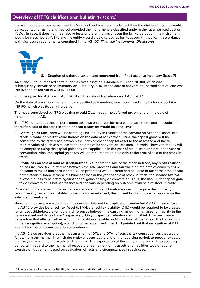In case the preference shares meet the SPPI test and business model test then the dividend income would be accounted for using EIR method provided the instrument is classified under either at amortised cost or FVOCI. In case, it does not meet above tests or the entity has chosen the fair value option, the instrument would be classified at FVTPL and the entity would give disclosures for its accounting policy in accordance with disclosure requirements contained in Ind AS 107, *Financial Instruments: Disclosures*.



#### **8. Creation of deferred tax on land converted from fixed asset to inventory (Issue 7)**

An entity Z Ltd. purchased certain land as fixed asset on 1 January 2007 for INR100 which was subsequently converted to inventory on 1 January 2016. At the date of conversion indexed cost of land was INR150 and its fair value was INR1,000.

Z Ltd. adopted Ind AS from 1 April 2018 and its date of transition was 1 April 2017.

On the date of transition, the land (now classified as inventory) was recognised at its historical cost (i.e. INR100, which was its carrying value).

The issue considered by ITFG was that should Z Ltd. recognize deferred tax on land on the date of transition to Ind AS.

The ITFG pointed out that as per Income tax laws on conversion of a capital asset into stock-in-trade, and thereafter, sale of the stock-in-trade, the tax treatment would be as follows:

- **Capital gains tax:** There will be capital gains liability in respect of the conversion of capital asset into stock-in-trade, at market value thereof on the date of conversion. Thus, the capital gains will be computed as the difference between the indexed cost of capital asset to the assessee and the fair market value of such capital asset on the date of its conversion into stock-in-trade. However, the tax will be computed using the capital gains tax rate applicable in the year of actual sale and not in the year of conversion. Also, the capital gains tax will be required to be paid only at the time of sale of the stock-intrade.
- **Profit/loss on sale of land as stock-in-trade:** As regard the sale of the stock-in-trade, any profit realised or loss incurred (i.e., difference between the sale proceeds and fair value on the date of conversion) will be liable to tax as business income. Such profit/loss would accrue and be liable to tax at the time of sale of the stock-in-trade. If there is a business loss in the year of sale of stock-in-trade, the Income-tax Act allows the loss to be offset against capital gains arising on conversion. Thus, the liability for capital gain tax on conversion is not sacrosanct and can vary depending on outcome from sale of stock-in-trade.

Considering the above, conversion of capital asset into stock-in-trade does not require the company to recognise any current tax liability. Under the Income-tax Act, the current tax liability will arise only on the sale of stock-in-trade.

However, the company would need to consider deferred tax implications under Ind AS 12, *Income Taxes.*  Ind AS 12 provides Deferred Tax Asset (DTA)/Deferred Tax Liability (DTL) would be required to be created for all deductible/taxable temporary differences between the carrying amount of an asset or liability in the balance sheet and its tax base <sup>6</sup> respectively. Only in specified situations e.g. if DTA/DTL arises from a transaction that affects neither accounting profit nor taxable profit (tax loss) at the time of the transaction (initial recognition exemption), would it not be recognised. The ITFG pointed out that recognition of DTA would be subject to consideration of prudence.

Ind AS 12 also provides that the measurement of DTL and DTA reflects the tax consequences that would follow from the manner in which the entity expects, at the end of the reporting period, to recover or settle the carrying amount of its assets and liabilities. The expectation of the entity at the end of the reporting period with regard to the manner of recovery or settlement of its assets and liabilities would require exercise of judgement based on evaluation of facts and circumstances in each case.

<sup>&</sup>lt;sup>6</sup> The tax base of an asset or liability is the amount attributed to that asset or liability for tax purpose.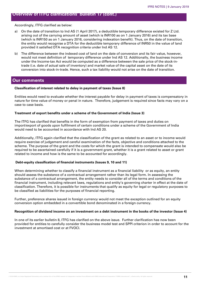Accordingly, ITFG clarified as below:

- a) On the date of transition to Ind AS (1 April 2017), a deductible temporary difference existed for Z Ltd. arising out of the carrying amount of asset (which is INR100 as on 1 January 2016) and its tax base (which is INR150 as on 1 January 2016, considering indexation benefit). Thus, on the date of transition, the entity would recognise a DTA for the deductible temporary difference of INR50 in the value of land provided it satisfied DTA recognition criteria under Ind AS 12.
- b) The difference between the indexed cost of land on the date of conversion and its fair value, however, would not meet definition of temporary difference under Ind AS 12. Additionally, the business income under the Income-tax Act would be computed as a difference between the sale price of the stock-intrade (i.e. date of actual sale of inventory) and market value of the capital asset on the date of its conversion into stock-in-trade. Hence, such a tax liability would not arise on the date of transition.

# **Our comments**

#### **Classification of interest related to delay in payment of taxes (Issue 8)**

Entities would need to evaluate whether the interest payable for delay in payment of taxes is compensatory in nature for time value of money or penal in nature. Therefore, judgement is required since facts may vary on a case to case basis.

#### **Treatment of export benefits under a scheme of the Government of India (Issue 3)**

The ITFG has clarified that benefits in the form of exemption from payment of taxes and duties on import/export of goods upon fulfilment of certain conditions under a scheme of the Government of India would need to be accounted in accordance with Ind AS 20.

Additionally, ITFG again clarified that the classification of the grant as related to an asset or to income would require exercise of judgement and careful examination of the facts, objective and conditions attached to the scheme. The purpose of the grant and the costs for which the grant is intended to compensate would also be required to be ascertained carefully if it is a government grant, whether it is a grant related to asset or grant related to income and how is the same to be accounted for accordingly.

#### **Debt-equity classification of financial instruments (Issues 9, 10 and 11)**

When determining whether to classify a financial instrument as a financial liability or as equity, an entity should assess the substance of a contractual arrangement rather than its legal form. In assessing the substance of a contractual arrangement, the entity needs to consider all of the terms and conditions of the financial instrument, including relevant laws, regulations and entity's governing charter in effect at the date of classification. Therefore, it is possible for instruments that qualify as equity for legal or regulatory purposes to be classified as liabilities for the purposes of financial reporting.

Further, preference shares issued in foreign currency would not meet the exception outlined for an equity conversion option embedded in a convertible bond denominated in a foreign currency.

#### **Recognition of dividend income on an investment on a debt instrument in the books of the investor (Issue 4)**

In one of its earlier bulletin 8, ITFG has clarified on the above issue. Further clarification has now been provided for entities to carefully consider the business model test and SPPI criterion in order to account for the investment at amortised cost or at FVOCI.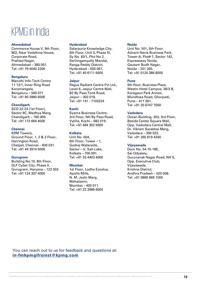# KPMG in India

#### **Ahmedabad**

Commerce House V, 9th Floor, 902, Near Vodafone House, Corporate Road, Prahlad Nagar, Ahmedabad – 380 051. Tel: +91 79 4040 2200

#### **Bengaluru**

Maruthi Info-Tech Centre 11-12/1, Inner Ring Road Koramangala, Bengaluru – 560 071 Tel: +91 80 3980 6000

#### **Chandigarh**

SCO 22-23 (1st Floor), Sector 8C, Madhya Marg, Chandigarh – 160 009. Tel: +91 172 664 4000

#### **Chennai**

KRM Towers, Ground Floor, 1, 2 & 3 Floor, Harrington Road, Chetpet, Chennai – 600 031. Tel: +91 44 3914 5000

#### **Gurugram**

Building No.10, 8th Floor, DLF Cyber City, Phase II, Gurugram, Haryana – 122 002. Tel: +91 124 307 4000

#### **Hyderabad**

Salarpuria Knowledge City, 6th Floor, Unit 3, Phase III, Sy No. 83/1, Plot No 2, Serilingampally Mandal, Ranga Reddy District, Hyderabad – 500 081. Tel: +91 40 6111 6000

#### **Jaipur**

Regus Radiant Centre Pvt Ltd., Level 6, Jaipur Centre Mall, B2 By Pass Tonk Road, Jaipur – 302 018. Tel: +91 141 - 7103224

#### **Kochi**

Syama Business Centre, 3rd Floor, NH By Pass Road, Vytilla, Kochi – 682 019. Tel: +91 484 302 5600

#### **Kolkata**

Unit No. 604, 6th Floor, Tower – 1, Godrej Waterside, Sector – V, Salt Lake, Kolkata – 700 091. Tel: +91 33 4403 4000

#### **Mumbai**

1st Floor, Lodha Excelus, Apollo Mills, N. M. Joshi Marg, Mahalaxmi, Mumbai – 400 011. Tel: +91 22 3989 6000

#### **Noida**

Unit No. 501, 5th Floor, Advant Navis Business Park, Tower-A, Plot# 7, Sector 142, Expressway Noida, Gautam Budh Nagar, Noida – 201 305. Tel: +91 0120 386 8000

#### **Pune**

9th floor, Business Plaza, Westin Hotel Campus, 36/3-B, Koregaon Park Annex, Mundhwa Road, Ghorpadi, Pune – 411 001. Tel: +91 20 6747 7000

#### **Vadodara**

Ocean Building, 303, 3rd Floor, Beside Center Square Mall, Opp. Vadodara Central Mall, Dr. Vikram Sarabhai Marg, Vadodara – 390 023. Tel: +91 265 619 4200

#### **Vijayawada**

Door No. 54-15-18E, Sai Odyssey, Gurunanak Nagar Road, NH 5, Opp. Executive Club, Vijayawada, Krishna District, Andhra Pradesh – 520 008. Tel: +91 0866 669 1000

You can reach out to us for feedback and questions at: **in-fmkpmgifrsinst@kpmg.com**